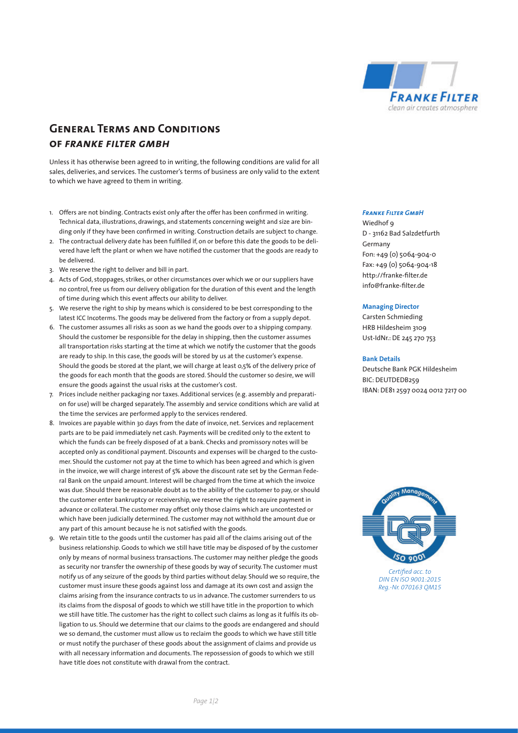

# **General Terms and Conditions of** *franke filter gmbh*

Unless it has otherwise been agreed to in writing, the following conditions are valid for all sales, deliveries, and services. The customer's terms of business are only valid to the extent to which we have agreed to them in writing.

- 1. Offers are not binding. Contracts exist only after the offer has been confirmed in writing. Technical data, illustrations, drawings, and statements concerning weight and size are binding only if they have been confirmed in writing. Construction details are subject to change.
- 2. The contractual delivery date has been fulfilled if, on or before this date the goods to be delivered have left the plant or when we have notified the customer that the goods are ready to be delivered.
- 3. We reserve the right to deliver and bill in part.
- 4. Acts of God, stoppages, strikes, or other circumstances over which we or our suppliers have no control, free us from our delivery obligation for the duration of this event and the length of time during which this event affects our ability to deliver.
- 5. We reserve the right to ship by means which is considered to be best corresponding to the latest ICC Incoterms. The goods may be delivered from the factory or from a supply depot.
- 6. The customer assumes all risks as soon as we hand the goods over to a shipping company. Should the customer be responsible for the delay in shipping, then the customer assumes all transportation risks starting at the time at which we notify the customer that the goods are ready to ship. In this case, the goods will be stored by us at the customer's expense. Should the goods be stored at the plant, we will charge at least 0,5% of the delivery price of the goods for each month that the goods are stored. Should the customer so desire, we will ensure the goods against the usual risks at the customer's cost.
- 7. Prices include neither packaging nor taxes. Additional services (e.g. assembly and preparation for use) will be charged separately. The assembly and service conditions which are valid at the time the services are performed apply to the services rendered.
- 8. Invoices are payable within 30 days from the date of invoice, net. Services and replacement parts are to be paid immediately net cash. Payments will be credited only to the extent to which the funds can be freely disposed of at a bank. Checks and promissory notes will be accepted only as conditional payment. Discounts and expenses will be charged to the customer. Should the customer not pay at the time to which has been agreed and which is given in the invoice, we will charge interest of 5% above the discount rate set by the German Federal Bank on the unpaid amount. Interest will be charged from the time at which the invoice was due. Should there be reasonable doubt as to the ability of the customer to pay, or should the customer enter bankruptcy or receivership, we reserve the right to require payment in advance or collateral. The customer may offset only those claims which are uncontested or which have been judicially determined. The customer may not withhold the amount due or any part of this amount because he is not satisfied with the goods.
- 9. We retain title to the goods until the customer has paid all of the claims arising out of the business relationship. Goods to which we still have title may be disposed of by the customer only by means of normal business transactions. The customer may neither pledge the goods as security nor transfer the ownership of these goods by way of security. The customer must notify us of any seizure of the goods by third parties without delay. Should we so require, the customer must insure these goods against loss and damage at its own cost and assign the claims arising from the insurance contracts to us in advance. The customer surrenders to us its claims from the disposal of goods to which we still have title in the proportion to which we still have title. The customer has the right to collect such claims as long as it fulfils its obligation to us. Should we determine that our claims to the goods are endangered and should we so demand, the customer must allow us to reclaim the goods to which we have still title or must notify the purchaser of these goods about the assignment of claims and provide us with all necessary information and documents. The repossession of goods to which we still have title does not constitute with drawal from the contract.

#### *Franke Filter GmbH*

Wiedhof 9 D - 31162 Bad Salzdetfurth Germany Fon: +49 (0) 5064-904-0 Fax: +49 (0) 5064-904-18 http://franke-filter.de info@franke-filter.de

## **Managing Director**

Carsten Schmieding HRB Hildesheim 3109 Ust-IdNr.: DE 245 270 753

# **Bank Details**

Deutsche Bank PGK Hildesheim BIC: DEUTDEDB259 IBAN: DE81 2597 0024 0012 7217 00



*Certified acc. to DIN EN ISO 9001:2015 Reg.-Nr. 070163 QM15*